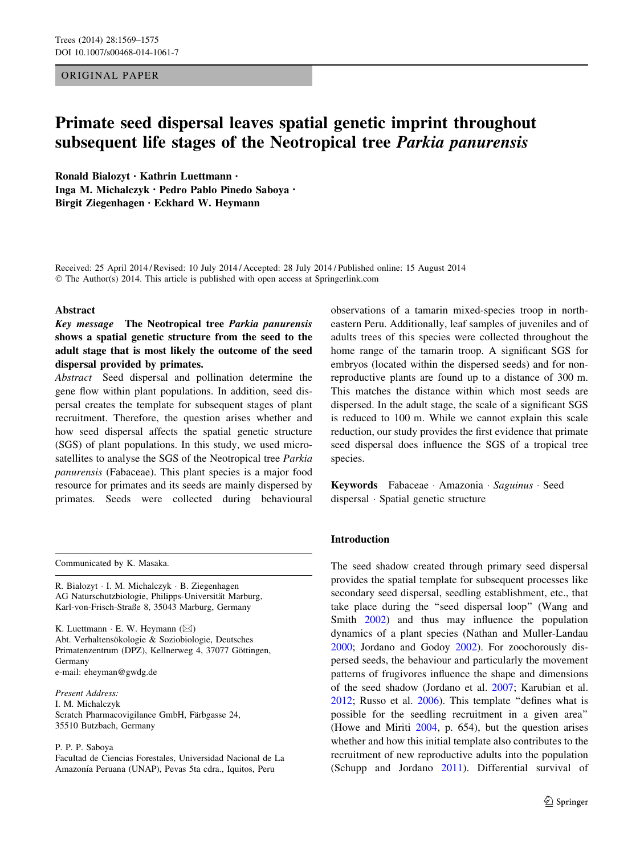ORIGINAL PAPER

# Primate seed dispersal leaves spatial genetic imprint throughout subsequent life stages of the Neotropical tree Parkia panurensis

Ronald Bialozyt • Kathrin Luettmann • Inga M. Michalczyk • Pedro Pablo Pinedo Saboya • Birgit Ziegenhagen • Eckhard W. Heymann

Received: 25 April 2014 / Revised: 10 July 2014 / Accepted: 28 July 2014 / Published online: 15 August 2014 © The Author(s) 2014. This article is published with open access at Springerlink.com

#### Abstract

Key message The Neotropical tree Parkia panurensis shows a spatial genetic structure from the seed to the adult stage that is most likely the outcome of the seed dispersal provided by primates.

Abstract Seed dispersal and pollination determine the gene flow within plant populations. In addition, seed dispersal creates the template for subsequent stages of plant recruitment. Therefore, the question arises whether and how seed dispersal affects the spatial genetic structure (SGS) of plant populations. In this study, we used microsatellites to analyse the SGS of the Neotropical tree Parkia panurensis (Fabaceae). This plant species is a major food resource for primates and its seeds are mainly dispersed by primates. Seeds were collected during behavioural

Communicated by K. Masaka.

R. Bialozyt - I. M. Michalczyk - B. Ziegenhagen AG Naturschutzbiologie, Philipps-Universität Marburg, Karl-von-Frisch-Straße 8, 35043 Marburg, Germany

K. Luettmann  $\cdot$  E. W. Heymann ( $\boxtimes$ ) Abt. Verhaltensökologie & Soziobiologie, Deutsches Primatenzentrum (DPZ), Kellnerweg 4, 37077 Göttingen, Germany e-mail: eheyman@gwdg.de

#### Present Address:

I. M. Michalczyk Scratch Pharmacovigilance GmbH, Färbgasse 24, 35510 Butzbach, Germany

P. P. P. Saboya

Facultad de Ciencias Forestales, Universidad Nacional de La Amazonía Peruana (UNAP), Pevas 5ta cdra., Iquitos, Peru

observations of a tamarin mixed-species troop in northeastern Peru. Additionally, leaf samples of juveniles and of adults trees of this species were collected throughout the home range of the tamarin troop. A significant SGS for embryos (located within the dispersed seeds) and for nonreproductive plants are found up to a distance of 300 m. This matches the distance within which most seeds are dispersed. In the adult stage, the scale of a significant SGS is reduced to 100 m. While we cannot explain this scale reduction, our study provides the first evidence that primate seed dispersal does influence the SGS of a tropical tree species.

Keywords Fabaceae Amazonia Saguinus Seed dispersal - Spatial genetic structure

### Introduction

The seed shadow created through primary seed dispersal provides the spatial template for subsequent processes like secondary seed dispersal, seedling establishment, etc., that take place during the ''seed dispersal loop'' (Wang and Smith [2002](#page-6-0)) and thus may influence the population dynamics of a plant species (Nathan and Muller-Landau [2000](#page-6-0); Jordano and Godoy [2002](#page-5-0)). For zoochorously dispersed seeds, the behaviour and particularly the movement patterns of frugivores influence the shape and dimensions of the seed shadow (Jordano et al. [2007](#page-5-0); Karubian et al. [2012](#page-5-0); Russo et al. [2006](#page-6-0)). This template ''defines what is possible for the seedling recruitment in a given area'' (Howe and Miriti [2004,](#page-5-0) p. 654), but the question arises whether and how this initial template also contributes to the recruitment of new reproductive adults into the population (Schupp and Jordano [2011](#page-6-0)). Differential survival of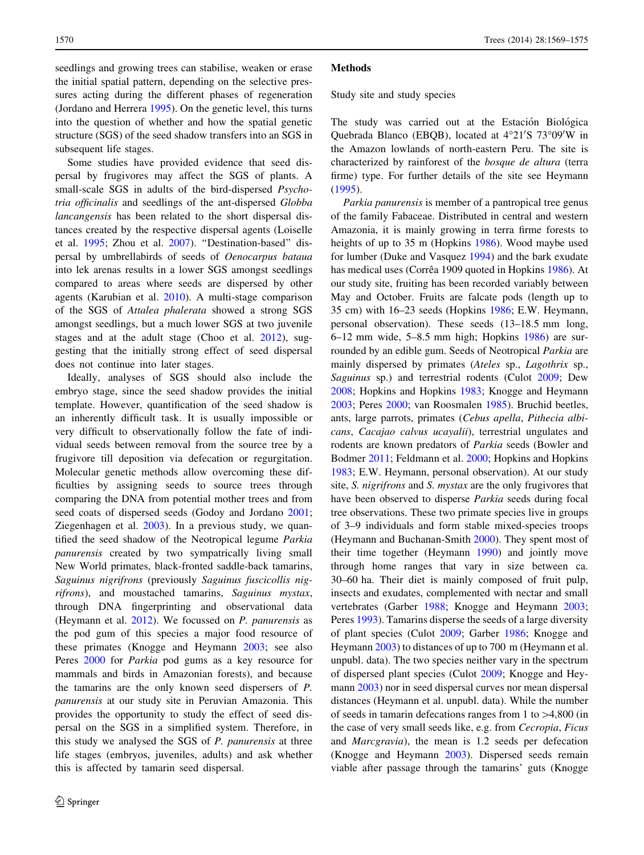seedlings and growing trees can stabilise, weaken or erase the initial spatial pattern, depending on the selective pressures acting during the different phases of regeneration (Jordano and Herrera [1995](#page-5-0)). On the genetic level, this turns into the question of whether and how the spatial genetic structure (SGS) of the seed shadow transfers into an SGS in subsequent life stages.

Some studies have provided evidence that seed dispersal by frugivores may affect the SGS of plants. A small-scale SGS in adults of the bird-dispersed Psychotria officinalis and seedlings of the ant-dispersed Globba lancangensis has been related to the short dispersal distances created by the respective dispersal agents (Loiselle et al. [1995](#page-6-0); Zhou et al. [2007](#page-6-0)). ''Destination-based'' dispersal by umbrellabirds of seeds of Oenocarpus bataua into lek arenas results in a lower SGS amongst seedlings compared to areas where seeds are dispersed by other agents (Karubian et al. [2010](#page-5-0)). A multi-stage comparison of the SGS of Attalea phalerata showed a strong SGS amongst seedlings, but a much lower SGS at two juvenile stages and at the adult stage (Choo et al. [2012\)](#page-5-0), suggesting that the initially strong effect of seed dispersal does not continue into later stages.

Ideally, analyses of SGS should also include the embryo stage, since the seed shadow provides the initial template. However, quantification of the seed shadow is an inherently difficult task. It is usually impossible or very difficult to observationally follow the fate of individual seeds between removal from the source tree by a frugivore till deposition via defecation or regurgitation. Molecular genetic methods allow overcoming these difficulties by assigning seeds to source trees through comparing the DNA from potential mother trees and from seed coats of dispersed seeds (Godoy and Jordano [2001](#page-5-0); Ziegenhagen et al. [2003](#page-6-0)). In a previous study, we quantified the seed shadow of the Neotropical legume Parkia panurensis created by two sympatrically living small New World primates, black-fronted saddle-back tamarins, Saguinus nigrifrons (previously Saguinus fuscicollis nigrifrons), and moustached tamarins, Saguinus mystax, through DNA fingerprinting and observational data (Heymann et al. [2012](#page-5-0)). We focussed on P. panurensis as the pod gum of this species a major food resource of these primates (Knogge and Heymann [2003](#page-5-0); see also Peres [2000](#page-6-0) for Parkia pod gums as a key resource for mammals and birds in Amazonian forests), and because the tamarins are the only known seed dispersers of P. panurensis at our study site in Peruvian Amazonia. This provides the opportunity to study the effect of seed dispersal on the SGS in a simplified system. Therefore, in this study we analysed the SGS of P. panurensis at three life stages (embryos, juveniles, adults) and ask whether this is affected by tamarin seed dispersal.

#### **Methods**

Study site and study species

The study was carried out at the Estación Biológica Quebrada Blanco (EBQB), located at 4°21'S 73°09'W in the Amazon lowlands of north-eastern Peru. The site is characterized by rainforest of the bosque de altura (terra firme) type. For further details of the site see Heymann [\(1995](#page-5-0)).

Parkia panurensis is member of a pantropical tree genus of the family Fabaceae. Distributed in central and western Amazonia, it is mainly growing in terra firme forests to heights of up to 35 m (Hopkins [1986](#page-5-0)). Wood maybe used for lumber (Duke and Vasquez [1994\)](#page-5-0) and the bark exudate has medical uses (Corrêa 1909 quoted in Hopkins [1986](#page-5-0)). At our study site, fruiting has been recorded variably between May and October. Fruits are falcate pods (length up to 35 cm) with 16–23 seeds (Hopkins [1986;](#page-5-0) E.W. Heymann, personal observation). These seeds (13–18.5 mm long, 6–12 mm wide, 5–8.5 mm high; Hopkins [1986](#page-5-0)) are surrounded by an edible gum. Seeds of Neotropical Parkia are mainly dispersed by primates (Ateles sp., Lagothrix sp., Saguinus sp.) and terrestrial rodents (Culot [2009](#page-5-0); Dew [2008](#page-5-0); Hopkins and Hopkins [1983;](#page-5-0) Knogge and Heymann [2003](#page-5-0); Peres [2000](#page-6-0); van Roosmalen [1985](#page-6-0)). Bruchid beetles, ants, large parrots, primates (Cebus apella, Pithecia albicans, Cacajao calvus ucayalii), terrestrial ungulates and rodents are known predators of Parkia seeds (Bowler and Bodmer [2011;](#page-5-0) Feldmann et al. [2000](#page-5-0); Hopkins and Hopkins [1983](#page-5-0); E.W. Heymann, personal observation). At our study site, *S. nigrifrons* and *S. mystax* are the only frugivores that have been observed to disperse Parkia seeds during focal tree observations. These two primate species live in groups of 3–9 individuals and form stable mixed-species troops (Heymann and Buchanan-Smith [2000](#page-5-0)). They spent most of their time together (Heymann [1990\)](#page-5-0) and jointly move through home ranges that vary in size between ca. 30–60 ha. Their diet is mainly composed of fruit pulp, insects and exudates, complemented with nectar and small vertebrates (Garber [1988](#page-5-0); Knogge and Heymann [2003](#page-5-0); Peres [1993\)](#page-6-0). Tamarins disperse the seeds of a large diversity of plant species (Culot [2009;](#page-5-0) Garber [1986](#page-5-0); Knogge and Heymann [2003\)](#page-5-0) to distances of up to 700 m (Heymann et al. unpubl. data). The two species neither vary in the spectrum of dispersed plant species (Culot [2009;](#page-5-0) Knogge and Heymann [2003\)](#page-5-0) nor in seed dispersal curves nor mean dispersal distances (Heymann et al. unpubl. data). While the number of seeds in tamarin defecations ranges from 1 to  $>4,800$  (in the case of very small seeds like, e.g. from Cecropia, Ficus and Marcgravia), the mean is 1.2 seeds per defecation (Knogge and Heymann [2003\)](#page-5-0). Dispersed seeds remain viable after passage through the tamarins' guts (Knogge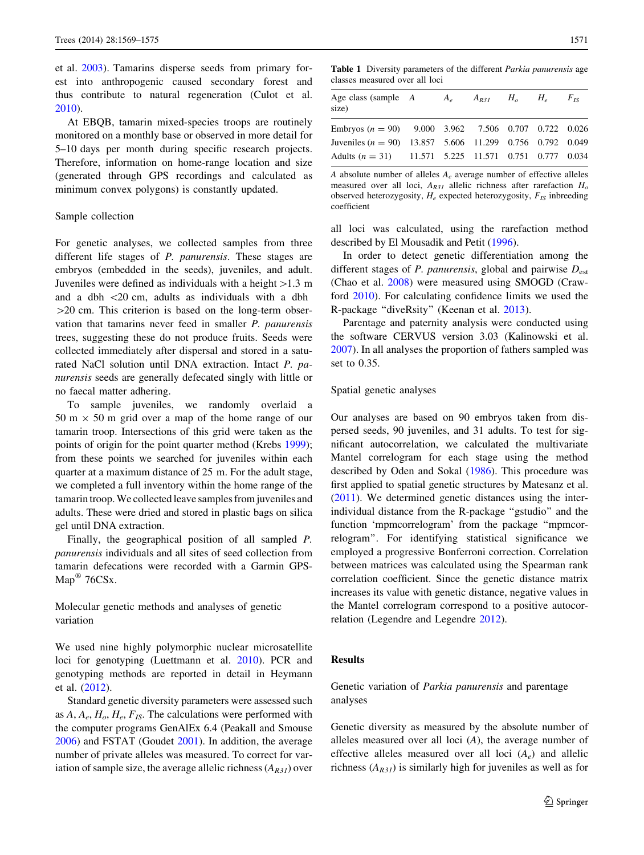<span id="page-2-0"></span>et al. [2003](#page-5-0)). Tamarins disperse seeds from primary forest into anthropogenic caused secondary forest and thus contribute to natural regeneration (Culot et al. [2010\)](#page-5-0).

At EBQB, tamarin mixed-species troops are routinely monitored on a monthly base or observed in more detail for 5–10 days per month during specific research projects. Therefore, information on home-range location and size (generated through GPS recordings and calculated as minimum convex polygons) is constantly updated.

#### Sample collection

For genetic analyses, we collected samples from three different life stages of *P. panurensis*. These stages are embryos (embedded in the seeds), juveniles, and adult. Juveniles were defined as individuals with a height  $>1.3$  m and a dbh  $\langle 20 \text{ cm}, \text{ adults} \rangle$  as individuals with a dbh  $>$ 20 cm. This criterion is based on the long-term observation that tamarins never feed in smaller P. panurensis trees, suggesting these do not produce fruits. Seeds were collected immediately after dispersal and stored in a saturated NaCl solution until DNA extraction. Intact P. panurensis seeds are generally defecated singly with little or no faecal matter adhering.

To sample juveniles, we randomly overlaid a  $50 \text{ m} \times 50 \text{ m}$  grid over a map of the home range of our tamarin troop. Intersections of this grid were taken as the points of origin for the point quarter method (Krebs [1999](#page-5-0)); from these points we searched for juveniles within each quarter at a maximum distance of 25 m. For the adult stage, we completed a full inventory within the home range of the tamarin troop. We collected leave samples from juveniles and adults. These were dried and stored in plastic bags on silica gel until DNA extraction.

Finally, the geographical position of all sampled P. panurensis individuals and all sites of seed collection from tamarin defecations were recorded with a Garmin GPS- $Map^{\circledR}$  76CSx.

Molecular genetic methods and analyses of genetic variation

We used nine highly polymorphic nuclear microsatellite loci for genotyping (Luettmann et al. [2010](#page-6-0)). PCR and genotyping methods are reported in detail in Heymann et al. [\(2012](#page-5-0)).

Standard genetic diversity parameters were assessed such as  $A, A_e, H_o, H_e, F_{IS}$ . The calculations were performed with the computer programs GenAlEx 6.4 (Peakall and Smouse [2006\)](#page-6-0) and FSTAT (Goudet [2001](#page-5-0)). In addition, the average number of private alleles was measured. To correct for variation of sample size, the average allelic richness  $(A_{R31})$  over

Table 1 Diversity parameters of the different Parkia panurensis age classes measured over all loci

| Age class (sample $A$<br>size)                               | $A_{\scriptscriptstyle e}$ | $A_{R31}$ $H_o$ $H_e$ $F_{IS}$ |  |  |
|--------------------------------------------------------------|----------------------------|--------------------------------|--|--|
| Embryos ( $n = 90$ ) 9.000 3.962 7.506 0.707 0.722 0.026     |                            |                                |  |  |
| Juveniles ( $n = 90$ ) 13.857 5.606 11.299 0.756 0.792 0.049 |                            |                                |  |  |
| Adults $(n = 31)$ 11.571 5.225 11.571 0.751 0.777 0.034      |                            |                                |  |  |

A absolute number of alleles  $A_e$  average number of effective alleles measured over all loci,  $A_{R31}$  allelic richness after rarefaction  $H_0$ observed heterozygosity,  $H_e$  expected heterozygosity,  $F_{IS}$  inbreeding coefficient

all loci was calculated, using the rarefaction method described by El Mousadik and Petit ([1996](#page-5-0)).

In order to detect genetic differentiation among the different stages of *P. panurensis*, global and pairwise  $D_{est}$ (Chao et al. [2008\)](#page-5-0) were measured using SMOGD (Crawford [2010](#page-5-0)). For calculating confidence limits we used the R-package ''diveRsity'' (Keenan et al. [2013\)](#page-5-0).

Parentage and paternity analysis were conducted using the software CERVUS version 3.03 (Kalinowski et al. [2007](#page-5-0)). In all analyses the proportion of fathers sampled was set to 0.35.

#### Spatial genetic analyses

Our analyses are based on 90 embryos taken from dispersed seeds, 90 juveniles, and 31 adults. To test for significant autocorrelation, we calculated the multivariate Mantel correlogram for each stage using the method described by Oden and Sokal [\(1986](#page-6-0)). This procedure was first applied to spatial genetic structures by Matesanz et al. [\(2011](#page-6-0)). We determined genetic distances using the interindividual distance from the R-package ''gstudio'' and the function 'mpmcorrelogram' from the package ''mpmcorrelogram''. For identifying statistical significance we employed a progressive Bonferroni correction. Correlation between matrices was calculated using the Spearman rank correlation coefficient. Since the genetic distance matrix increases its value with genetic distance, negative values in the Mantel correlogram correspond to a positive autocorrelation (Legendre and Legendre [2012\)](#page-5-0).

#### Results

## Genetic variation of Parkia panurensis and parentage analyses

Genetic diversity as measured by the absolute number of alleles measured over all loci (A), the average number of effective alleles measured over all loci  $(A_e)$  and allelic richness  $(A_{R31})$  is similarly high for juveniles as well as for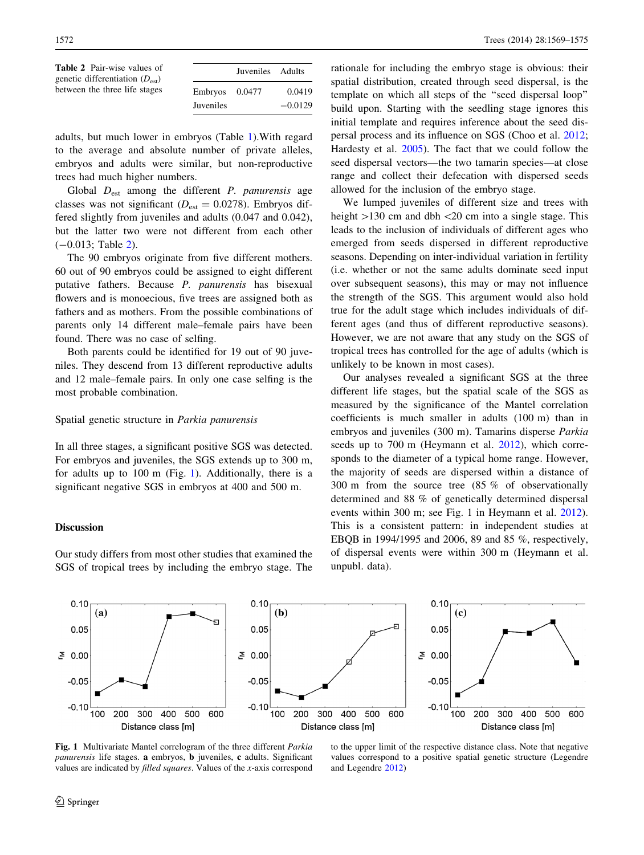| <b>Table 2</b> Pair-wise values of<br>genetic differentiation $(D_{\text{est}})$ |                  | Juveniles Adults |           |  |
|----------------------------------------------------------------------------------|------------------|------------------|-----------|--|
| between the three life stages                                                    | $Embrvos$ 0.0477 |                  | 0.0419    |  |
|                                                                                  | Juveniles        |                  | $-0.0129$ |  |

adults, but much lower in embryos (Table [1\)](#page-2-0).With regard to the average and absolute number of private alleles, embryos and adults were similar, but non-reproductive trees had much higher numbers.

Global  $D_{est}$  among the different *P. panurensis* age classes was not significant ( $D_{est} = 0.0278$ ). Embryos differed slightly from juveniles and adults (0.047 and 0.042), but the latter two were not different from each other  $(-0.013;$  Table 2).

The 90 embryos originate from five different mothers. 60 out of 90 embryos could be assigned to eight different putative fathers. Because P. panurensis has bisexual flowers and is monoecious, five trees are assigned both as fathers and as mothers. From the possible combinations of parents only 14 different male–female pairs have been found. There was no case of selfing.

Both parents could be identified for 19 out of 90 juveniles. They descend from 13 different reproductive adults and 12 male–female pairs. In only one case selfing is the most probable combination.

#### Spatial genetic structure in Parkia panurensis

In all three stages, a significant positive SGS was detected. For embryos and juveniles, the SGS extends up to 300 m, for adults up to 100 m (Fig. 1). Additionally, there is a significant negative SGS in embryos at 400 and 500 m.

#### Discussion

Our study differs from most other studies that examined the SGS of tropical trees by including the embryo stage. The

rationale for including the embryo stage is obvious: their spatial distribution, created through seed dispersal, is the template on which all steps of the ''seed dispersal loop'' build upon. Starting with the seedling stage ignores this initial template and requires inference about the seed dispersal process and its influence on SGS (Choo et al. [2012](#page-5-0); Hardesty et al. [2005\)](#page-5-0). The fact that we could follow the seed dispersal vectors—the two tamarin species—at close range and collect their defecation with dispersed seeds allowed for the inclusion of the embryo stage.

We lumped juveniles of different size and trees with height  $>130$  cm and dbh  $<20$  cm into a single stage. This leads to the inclusion of individuals of different ages who emerged from seeds dispersed in different reproductive seasons. Depending on inter-individual variation in fertility (i.e. whether or not the same adults dominate seed input over subsequent seasons), this may or may not influence the strength of the SGS. This argument would also hold true for the adult stage which includes individuals of different ages (and thus of different reproductive seasons). However, we are not aware that any study on the SGS of tropical trees has controlled for the age of adults (which is unlikely to be known in most cases).

Our analyses revealed a significant SGS at the three different life stages, but the spatial scale of the SGS as measured by the significance of the Mantel correlation coefficients is much smaller in adults (100 m) than in embryos and juveniles (300 m). Tamarins disperse Parkia seeds up to 700 m (Heymann et al. [2012](#page-5-0)), which corresponds to the diameter of a typical home range. However, the majority of seeds are dispersed within a distance of 300 m from the source tree (85 % of observationally determined and 88 % of genetically determined dispersal events within 300 m; see Fig. 1 in Heymann et al. [2012](#page-5-0)). This is a consistent pattern: in independent studies at EBQB in 1994/1995 and 2006, 89 and 85 %, respectively, of dispersal events were within 300 m (Heymann et al. unpubl. data).



Fig. 1 Multivariate Mantel correlogram of the three different Parkia panurensis life stages. a embryos, b juveniles, c adults. Significant values are indicated by filled squares. Values of the x-axis correspond

to the upper limit of the respective distance class. Note that negative values correspond to a positive spatial genetic structure (Legendre and Legendre [2012](#page-5-0))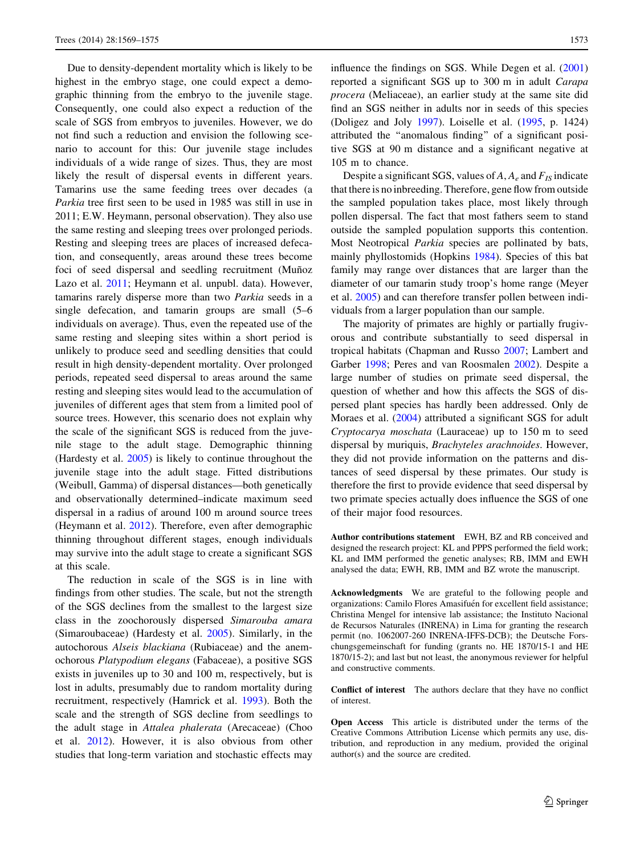Due to density-dependent mortality which is likely to be highest in the embryo stage, one could expect a demographic thinning from the embryo to the juvenile stage. Consequently, one could also expect a reduction of the scale of SGS from embryos to juveniles. However, we do not find such a reduction and envision the following scenario to account for this: Our juvenile stage includes individuals of a wide range of sizes. Thus, they are most likely the result of dispersal events in different years. Tamarins use the same feeding trees over decades (a Parkia tree first seen to be used in 1985 was still in use in 2011; E.W. Heymann, personal observation). They also use the same resting and sleeping trees over prolonged periods. Resting and sleeping trees are places of increased defecation, and consequently, areas around these trees become foci of seed dispersal and seedling recruitment (Muñoz Lazo et al. [2011](#page-6-0); Heymann et al. unpubl. data). However, tamarins rarely disperse more than two Parkia seeds in a single defecation, and tamarin groups are small (5–6 individuals on average). Thus, even the repeated use of the same resting and sleeping sites within a short period is unlikely to produce seed and seedling densities that could result in high density-dependent mortality. Over prolonged periods, repeated seed dispersal to areas around the same resting and sleeping sites would lead to the accumulation of juveniles of different ages that stem from a limited pool of source trees. However, this scenario does not explain why the scale of the significant SGS is reduced from the juvenile stage to the adult stage. Demographic thinning (Hardesty et al. [2005\)](#page-5-0) is likely to continue throughout the juvenile stage into the adult stage. Fitted distributions (Weibull, Gamma) of dispersal distances—both genetically and observationally determined–indicate maximum seed dispersal in a radius of around 100 m around source trees (Heymann et al. [2012](#page-5-0)). Therefore, even after demographic thinning throughout different stages, enough individuals may survive into the adult stage to create a significant SGS at this scale.

The reduction in scale of the SGS is in line with findings from other studies. The scale, but not the strength of the SGS declines from the smallest to the largest size class in the zoochorously dispersed Simarouba amara (Simaroubaceae) (Hardesty et al. [2005](#page-5-0)). Similarly, in the autochorous Alseis blackiana (Rubiaceae) and the anemochorous Platypodium elegans (Fabaceae), a positive SGS exists in juveniles up to 30 and 100 m, respectively, but is lost in adults, presumably due to random mortality during recruitment, respectively (Hamrick et al. [1993\)](#page-5-0). Both the scale and the strength of SGS decline from seedlings to the adult stage in Attalea phalerata (Arecaceae) (Choo et al. [2012\)](#page-5-0). However, it is also obvious from other studies that long-term variation and stochastic effects may influence the findings on SGS. While Degen et al. ([2001\)](#page-5-0) reported a significant SGS up to 300 m in adult Carapa procera (Meliaceae), an earlier study at the same site did find an SGS neither in adults nor in seeds of this species (Doligez and Joly [1997\)](#page-5-0). Loiselle et al. [\(1995](#page-6-0), p. 1424) attributed the ''anomalous finding'' of a significant positive SGS at 90 m distance and a significant negative at 105 m to chance.

Despite a significant SGS, values of  $A, A_e$  and  $F_{IS}$  indicate that there is no inbreeding. Therefore, gene flow from outside the sampled population takes place, most likely through pollen dispersal. The fact that most fathers seem to stand outside the sampled population supports this contention. Most Neotropical Parkia species are pollinated by bats, mainly phyllostomids (Hopkins [1984](#page-5-0)). Species of this bat family may range over distances that are larger than the diameter of our tamarin study troop's home range (Meyer et al. [2005\)](#page-6-0) and can therefore transfer pollen between individuals from a larger population than our sample.

The majority of primates are highly or partially frugivorous and contribute substantially to seed dispersal in tropical habitats (Chapman and Russo [2007;](#page-5-0) Lambert and Garber [1998;](#page-5-0) Peres and van Roosmalen [2002\)](#page-6-0). Despite a large number of studies on primate seed dispersal, the question of whether and how this affects the SGS of dispersed plant species has hardly been addressed. Only de Moraes et al. [\(2004](#page-5-0)) attributed a significant SGS for adult Cryptocarya moschata (Lauraceae) up to 150 m to seed dispersal by muriquis, Brachyteles arachnoides. However, they did not provide information on the patterns and distances of seed dispersal by these primates. Our study is therefore the first to provide evidence that seed dispersal by two primate species actually does influence the SGS of one of their major food resources.

Author contributions statement EWH, BZ and RB conceived and designed the research project: KL and PPPS performed the field work; KL and IMM performed the genetic analyses; RB, IMM and EWH analysed the data; EWH, RB, IMM and BZ wrote the manuscript.

Acknowledgments We are grateful to the following people and organizations: Camilo Flores Amasifuén for excellent field assistance; Christina Mengel for intensive lab assistance; the Instituto Nacional de Recursos Naturales (INRENA) in Lima for granting the research permit (no. 1062007-260 INRENA-IFFS-DCB); the Deutsche Forschungsgemeinschaft for funding (grants no. HE 1870/15-1 and HE 1870/15-2); and last but not least, the anonymous reviewer for helpful and constructive comments.

Conflict of interest The authors declare that they have no conflict of interest.

Open Access This article is distributed under the terms of the Creative Commons Attribution License which permits any use, distribution, and reproduction in any medium, provided the original author(s) and the source are credited.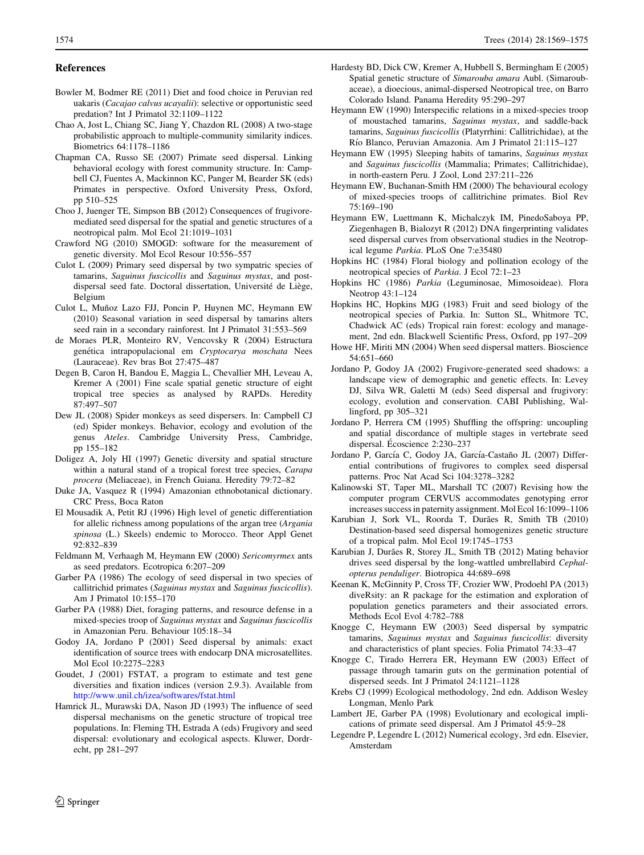#### <span id="page-5-0"></span>References

- Bowler M, Bodmer RE (2011) Diet and food choice in Peruvian red uakaris (Cacajao calvus ucayalii): selective or opportunistic seed predation? Int J Primatol 32:1109–1122
- Chao A, Jost L, Chiang SC, Jiang Y, Chazdon RL (2008) A two-stage probabilistic approach to multiple-community similarity indices. Biometrics 64:1178–1186
- Chapman CA, Russo SE (2007) Primate seed dispersal. Linking behavioral ecology with forest community structure. In: Campbell CJ, Fuentes A, Mackinnon KC, Panger M, Bearder SK (eds) Primates in perspective. Oxford University Press, Oxford, pp 510–525
- Choo J, Juenger TE, Simpson BB (2012) Consequences of frugivoremediated seed dispersal for the spatial and genetic structures of a neotropical palm. Mol Ecol 21:1019–1031
- Crawford NG (2010) SMOGD: software for the measurement of genetic diversity. Mol Ecol Resour 10:556–557
- Culot L (2009) Primary seed dispersal by two sympatric species of tamarins, Saguinus fuscicollis and Saguinus mystax, and postdispersal seed fate. Doctoral dissertation, Université de Liège, Belgium
- Culot L, Muñoz Lazo FJJ, Poncin P, Huynen MC, Heymann EW (2010) Seasonal variation in seed dispersal by tamarins alters seed rain in a secondary rainforest. Int J Primatol 31:553–569
- de Moraes PLR, Monteiro RV, Vencovsky R (2004) Estructura genética intrapopulacional em Cryptocarya moschata Nees (Lauraceae). Rev bras Bot 27:475–487
- Degen B, Caron H, Bandou E, Maggia L, Chevallier MH, Leveau A, Kremer A (2001) Fine scale spatial genetic structure of eight tropical tree species as analysed by RAPDs. Heredity 87:497–507
- Dew JL (2008) Spider monkeys as seed dispersers. In: Campbell CJ (ed) Spider monkeys. Behavior, ecology and evolution of the genus Ateles. Cambridge University Press, Cambridge, pp 155–182
- Doligez A, Joly HI (1997) Genetic diversity and spatial structure within a natural stand of a tropical forest tree species, Carapa procera (Meliaceae), in French Guiana. Heredity 79:72–82
- Duke JA, Vasquez R (1994) Amazonian ethnobotanical dictionary. CRC Press, Boca Raton
- El Mousadik A, Petit RJ (1996) High level of genetic differentiation for allelic richness among populations of the argan tree (Argania spinosa (L.) Skeels) endemic to Morocco. Theor Appl Genet 92:832–839
- Feldmann M, Verhaagh M, Heymann EW (2000) Sericomyrmex ants as seed predators. Ecotropica 6:207–209
- Garber PA (1986) The ecology of seed dispersal in two species of callitrichid primates (Saguinus mystax and Saguinus fuscicollis). Am J Primatol 10:155–170
- Garber PA (1988) Diet, foraging patterns, and resource defense in a mixed-species troop of Saguinus mystax and Saguinus fuscicollis in Amazonian Peru. Behaviour 105:18–34
- Godoy JA, Jordano P (2001) Seed dispersal by animals: exact identification of source trees with endocarp DNA microsatellites. Mol Ecol 10:2275–2283
- Goudet, J (2001) FSTAT, a program to estimate and test gene diversities and fixation indices (version 2.9.3). Available from <http://www.unil.ch/izea/softwares/fstat.html>
- Hamrick JL, Murawski DA, Nason JD (1993) The influence of seed dispersal mechanisms on the genetic structure of tropical tree populations. In: Fleming TH, Estrada A (eds) Frugivory and seed dispersal: evolutionary and ecological aspects. Kluwer, Dordrecht, pp 281–297
- Hardesty BD, Dick CW, Kremer A, Hubbell S, Bermingham E (2005) Spatial genetic structure of Simarouba amara Aubl. (Simaroubaceae), a dioecious, animal-dispersed Neotropical tree, on Barro Colorado Island. Panama Heredity 95:290–297
- Heymann EW (1990) Interspecific relations in a mixed-species troop of moustached tamarins, Saguinus mystax, and saddle-back tamarins, Saguinus fuscicollis (Platyrrhini: Callitrichidae), at the Rı´o Blanco, Peruvian Amazonia. Am J Primatol 21:115–127
- Heymann EW (1995) Sleeping habits of tamarins, Saguinus mystax and Saguinus fuscicollis (Mammalia; Primates; Callitrichidae), in north-eastern Peru. J Zool, Lond 237:211–226
- Heymann EW, Buchanan-Smith HM (2000) The behavioural ecology of mixed-species troops of callitrichine primates. Biol Rev 75:169–190
- Heymann EW, Luettmann K, Michalczyk IM, PinedoSaboya PP, Ziegenhagen B, Bialozyt R (2012) DNA fingerprinting validates seed dispersal curves from observational studies in the Neotropical legume Parkia. PLoS One 7:e35480
- Hopkins HC (1984) Floral biology and pollination ecology of the neotropical species of Parkia. J Ecol 72:1–23
- Hopkins HC (1986) Parkia (Leguminosae, Mimosoideae). Flora Neotrop 43:1–124
- Hopkins HC, Hopkins MJG (1983) Fruit and seed biology of the neotropical species of Parkia. In: Sutton SL, Whitmore TC, Chadwick AC (eds) Tropical rain forest: ecology and management, 2nd edn. Blackwell Scientific Press, Oxford, pp 197–209
- Howe HF, Miriti MN (2004) When seed dispersal matters. Bioscience 54:651–660
- Jordano P, Godoy JA (2002) Frugivore-generated seed shadows: a landscape view of demographic and genetic effects. In: Levey DJ, Silva WR, Galetti M (eds) Seed dispersal and frugivory: ecology, evolution and conservation. CABI Publishing, Wallingford, pp 305–321
- Jordano P, Herrera CM (1995) Shuffling the offspring: uncoupling and spatial discordance of multiple stages in vertebrate seed dispersal. Écoscience 2:230–237
- Jordano P, García C, Godoy JA, García-Castaño JL (2007) Differential contributions of frugivores to complex seed dispersal patterns. Proc Nat Acad Sci 104:3278–3282
- Kalinowski ST, Taper ML, Marshall TC (2007) Revising how the computer program CERVUS accommodates genotyping error increases success in paternity assignment. Mol Ecol 16:1099–1106
- Karubian J, Sork VL, Roorda T, Durães R, Smith TB (2010) Destination-based seed dispersal homogenizes genetic structure of a tropical palm. Mol Ecol 19:1745–1753
- Karubian J, Durães R, Storey JL, Smith TB (2012) Mating behavior drives seed dispersal by the long-wattled umbrellabird Cephalopterus penduliger. Biotropica 44:689–698
- Keenan K, McGinnity P, Cross TF, Crozier WW, Prodoehl PA (2013) diveRsity: an R package for the estimation and exploration of population genetics parameters and their associated errors. Methods Ecol Evol 4:782–788
- Knogge C, Heymann EW (2003) Seed dispersal by sympatric tamarins, Saguinus mystax and Saguinus fuscicollis: diversity and characteristics of plant species. Folia Primatol 74:33–47
- Knogge C, Tirado Herrera ER, Heymann EW (2003) Effect of passage through tamarin guts on the germination potential of dispersed seeds. Int J Primatol 24:1121–1128
- Krebs CJ (1999) Ecological methodology, 2nd edn. Addison Wesley Longman, Menlo Park
- Lambert JE, Garber PA (1998) Evolutionary and ecological implications of primate seed dispersal. Am J Primatol 45:9–28
- Legendre P, Legendre L (2012) Numerical ecology, 3rd edn. Elsevier, Amsterdam